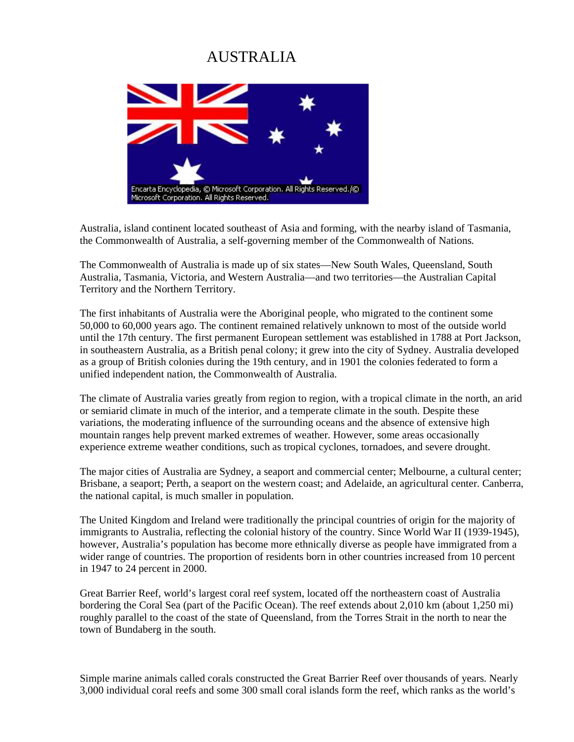## AUSTRALIA



Australia, island continent located southeast of Asia and forming, with the nearby island of Tasmania, the Commonwealth of Australia, a self-governing member of the Commonwealth of Nations.

The Commonwealth of Australia is made up of six states—New South Wales, Queensland, South Australia, Tasmania, Victoria, and Western Australia—and two territories—the Australian Capital Territory and the Northern Territory.

The first inhabitants of Australia were the Aboriginal people, who migrated to the continent some 50,000 to 60,000 years ago. The continent remained relatively unknown to most of the outside world until the 17th century. The first permanent European settlement was established in 1788 at Port Jackson, in southeastern Australia, as a British penal colony; it grew into the city of Sydney. Australia developed as a group of British colonies during the 19th century, and in 1901 the colonies federated to form a unified independent nation, the Commonwealth of Australia.

The climate of Australia varies greatly from region to region, with a tropical climate in the north, an arid or semiarid climate in much of the interior, and a temperate climate in the south. Despite these variations, the moderating influence of the surrounding oceans and the absence of extensive high mountain ranges help prevent marked extremes of weather. However, some areas occasionally experience extreme weather conditions, such as tropical cyclones, tornadoes, and severe drought.

The major cities of Australia are Sydney, a seaport and commercial center; Melbourne, a cultural center; Brisbane, a seaport; Perth, a seaport on the western coast; and Adelaide, an agricultural center. Canberra, the national capital, is much smaller in population.

The United Kingdom and Ireland were traditionally the principal countries of origin for the majority of immigrants to Australia, reflecting the colonial history of the country. Since World War II (1939-1945), however, Australia's population has become more ethnically diverse as people have immigrated from a wider range of countries. The proportion of residents born in other countries increased from 10 percent in 1947 to 24 percent in 2000.

Great Barrier Reef, world's largest coral reef system, located off the northeastern coast of Australia bordering the Coral Sea (part of the Pacific Ocean). The reef extends about 2,010 km (about 1,250 mi) roughly parallel to the coast of the state of Queensland, from the Torres Strait in the north to near the town of Bundaberg in the south.

Simple marine animals called corals constructed the Great Barrier Reef over thousands of years. Nearly 3,000 individual coral reefs and some 300 small coral islands form the reef, which ranks as the world's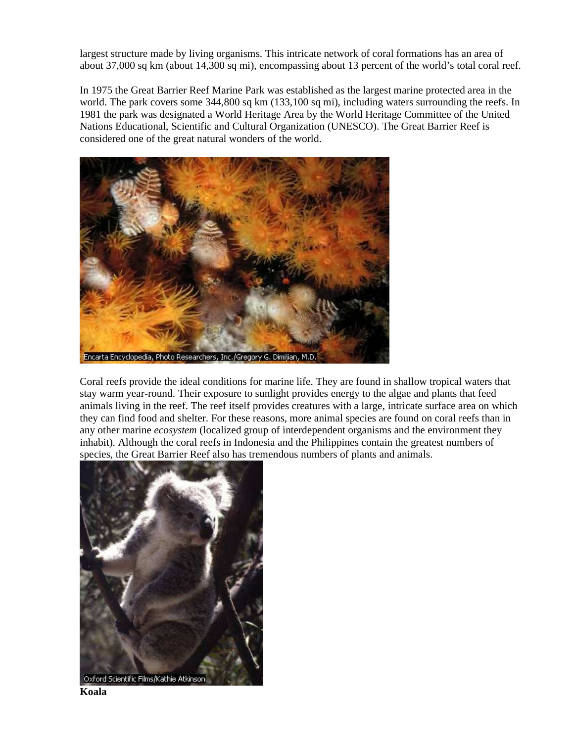largest structure made by living organisms. This intricate network of coral formations has an area of about 37,000 sq km (about 14,300 sq mi), encompassing about 13 percent of the world's total coral reef.

In 1975 the Great Barrier Reef Marine Park was established as the largest marine protected area in the world. The park covers some 344,800 sq km (133,100 sq mi), including waters surrounding the reefs. In 1981 the park was designated a World Heritage Area by the World Heritage Committee of the United Nations Educational, Scientific and Cultural Organization (UNESCO). The Great Barrier Reef is considered one of the great natural wonders of the world.



Coral reefs provide the ideal conditions for marine life. They are found in shallow tropical waters that stay warm year-round. Their exposure to sunlight provides energy to the algae and plants that feed animals living in the reef. The reef itself provides creatures with a large, intricate surface area on which they can find food and shelter. For these reasons, more animal species are found on coral reefs than in any other marine *ecosystem* (localized group of interdependent organisms and the environment they inhabit). Although the coral reefs in Indonesia and the Philippines contain the greatest numbers of species, the Great Barrier Reef also has tremendous numbers of plants and animals.



**Koala**